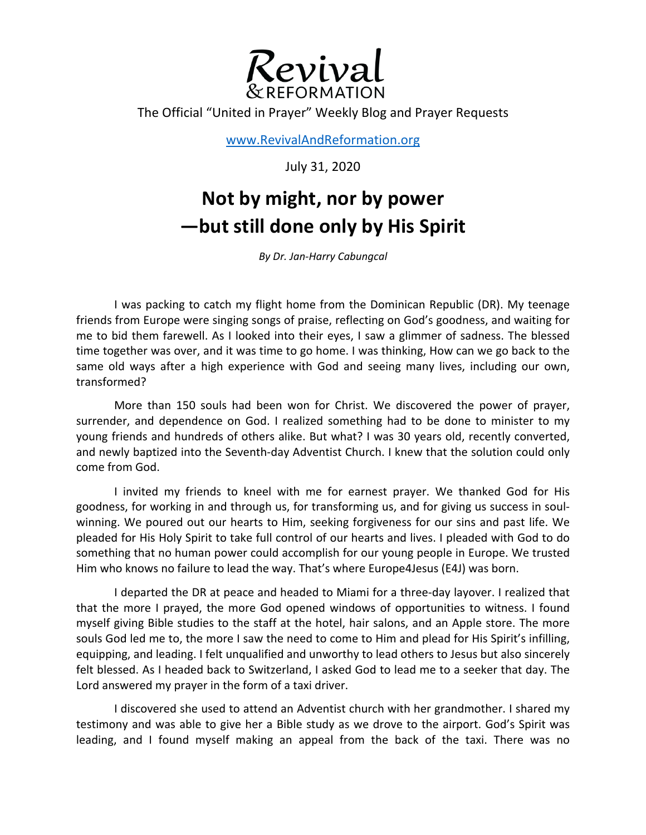

The Official "United in Prayer" Weekly Blog and Prayer Requests

www.RevivalAndReformation.org

July 31, 2020

## **Not by might, nor by power —but still done only by His Spirit**

*By Dr. Jan-Harry Cabungcal*

I was packing to catch my flight home from the Dominican Republic (DR). My teenage friends from Europe were singing songs of praise, reflecting on God's goodness, and waiting for me to bid them farewell. As I looked into their eyes, I saw a glimmer of sadness. The blessed time together was over, and it was time to go home. I was thinking, How can we go back to the same old ways after a high experience with God and seeing many lives, including our own, transformed?

More than 150 souls had been won for Christ. We discovered the power of prayer, surrender, and dependence on God. I realized something had to be done to minister to my young friends and hundreds of others alike. But what? I was 30 years old, recently converted, and newly baptized into the Seventh-day Adventist Church. I knew that the solution could only come from God.

I invited my friends to kneel with me for earnest prayer. We thanked God for His goodness, for working in and through us, for transforming us, and for giving us success in soulwinning. We poured out our hearts to Him, seeking forgiveness for our sins and past life. We pleaded for His Holy Spirit to take full control of our hearts and lives. I pleaded with God to do something that no human power could accomplish for our young people in Europe. We trusted Him who knows no failure to lead the way. That's where Europe4Jesus (E4J) was born.

I departed the DR at peace and headed to Miami for a three-day layover. I realized that that the more I prayed, the more God opened windows of opportunities to witness. I found myself giving Bible studies to the staff at the hotel, hair salons, and an Apple store. The more souls God led me to, the more I saw the need to come to Him and plead for His Spirit's infilling, equipping, and leading. I felt unqualified and unworthy to lead others to Jesus but also sincerely felt blessed. As I headed back to Switzerland, I asked God to lead me to a seeker that day. The Lord answered my prayer in the form of a taxi driver.

I discovered she used to attend an Adventist church with her grandmother. I shared my testimony and was able to give her a Bible study as we drove to the airport. God's Spirit was leading, and I found myself making an appeal from the back of the taxi. There was no